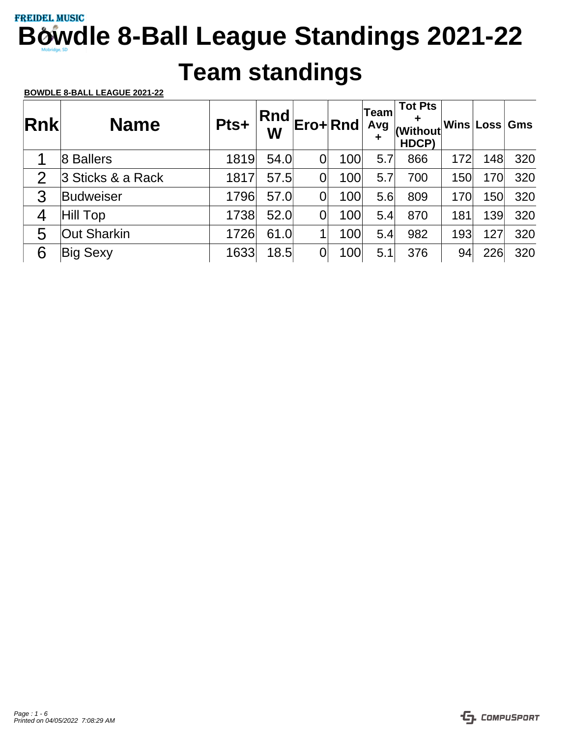## **Team standings**

| <b>Rnk</b>     | <b>Name</b>        | Pts+ | <b>Rnd</b><br>W |   | Ero+Rnd | Team<br>Avg<br>÷ | <b>Tot Pts</b><br>٠<br>(Without<br>HDCP) |     | Wins Loss | <b>Gms</b> |
|----------------|--------------------|------|-----------------|---|---------|------------------|------------------------------------------|-----|-----------|------------|
|                | 8 Ballers          | 1819 | 54.0            |   | 100     | 5.7              | 866                                      | 172 | 148       | 320        |
| $\overline{2}$ | 3 Sticks & a Rack  | 1817 | 57.5            |   | 100     | 5.7              | 700                                      | 150 | 170       | 320        |
| 3              | Budweiser          | 1796 | 57.0            | 0 | 100     | 5.6              | 809                                      | 170 | 150       | 320        |
| 4              | Hill Top           | 1738 | 52.0            |   | 100     | 5.4              | 870                                      | 181 | 139       | 320        |
| 5              | <b>Out Sharkin</b> | 1726 | 61.0            |   | 100     | 5.4              | 982                                      | 193 | 127       | 320        |
| 6              | <b>Big Sexy</b>    | 1633 | 18.5            |   | 100     | 5.1              | 376                                      | 94  | 226       | 320        |

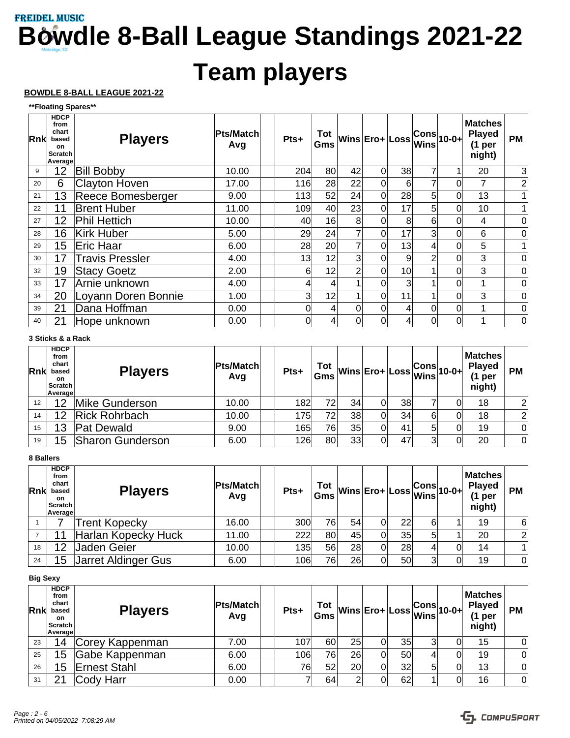# **Team players**

### **BOWDLE 8-BALL LEAGUE 2021-22**

**\*\*Floating Spares\*\***

| Rnk | <b>HDCP</b><br>from<br>chart<br>based<br><b>on</b><br><b>Scratch</b><br>Average | <b>Players</b>         | <b>Pts/Match</b><br>Avg | Pts+           | Gms             |    | $Tot$ wins Ero+ Loss |    | $ \mathsf{Wins} $ | $ \mathsf{Cons} _{10\text{-}0\text{+}} $ | <b>Matches</b><br><b>Played</b><br>(1 <sub>per</sub> )<br>night) | <b>PM</b>      |
|-----|---------------------------------------------------------------------------------|------------------------|-------------------------|----------------|-----------------|----|----------------------|----|-------------------|------------------------------------------|------------------------------------------------------------------|----------------|
| 9   | 12                                                                              | <b>Bill Bobby</b>      | 10.00                   | 204            | 80              | 42 | 0                    | 38 | 7                 |                                          | 20                                                               | 3              |
| 20  | 6                                                                               | <b>Clayton Hoven</b>   | 17.00                   | 116            | 28              | 22 | 0                    | 6  | 7                 |                                          | 7                                                                | $\overline{c}$ |
| 21  | 13                                                                              | Reece Bomesberger      | 9.00                    | 113            | 52              | 24 | 0                    | 28 | 5                 | 0                                        | 13                                                               |                |
| 22  | 11                                                                              | <b>Brent Huber</b>     | 11.00                   | 109            | 40              | 23 | 0                    | 17 | 5                 | 0                                        | 10                                                               |                |
| 27  | 12                                                                              | <b>Phil Hettich</b>    | 10.00                   | 40             | 16              | 8  | 0                    | 8  | 6                 | 0                                        | 4                                                                | 0              |
| 28  | 16                                                                              | <b>Kirk Huber</b>      | 5.00                    | 29             | 24              |    | 0                    | 17 | 3                 | 0                                        | 6                                                                | 0              |
| 29  | 15                                                                              | Eric Haar              | 6.00                    | 28             | 20 <sup>1</sup> |    | 0                    | 13 | 4                 | 0                                        | 5                                                                | 1              |
| 30  | 17                                                                              | <b>Travis Pressler</b> | 4.00                    | 13             | 12              | 3  | 0                    | 9  | $\mathcal{P}$     | 0                                        | 3                                                                | 0              |
| 32  | 19                                                                              | <b>Stacy Goetz</b>     | 2.00                    | 6              | 12              |    | 0                    | 10 |                   | 0                                        | 3                                                                | 0              |
| 33  | 17                                                                              | Arnie unknown          | 4.00                    |                |                 |    |                      | 3  |                   | 0                                        |                                                                  | 0              |
| 34  | 20                                                                              | Loyann Doren Bonnie    | 1.00                    | $\overline{3}$ | 12              |    | 0                    | 11 | 4                 | $\Omega$                                 | 3                                                                | 0              |
| 39  | 21                                                                              | Dana Hoffman           | 0.00                    | 0              | 4               | 0  | 0                    | 4  | 0                 | 0                                        | 1                                                                | 0              |
| 40  | 21                                                                              | Hope unknown           | 0.00                    | 0              | 4               | 0  | 0                    |    | 0                 | 0                                        |                                                                  | 0              |

### **3 Sticks & a Rack**

| Rnk | <b>HDCP</b><br>from<br>chart<br>based<br>on<br><b>Scratch</b><br>Average | <b>Players</b>          | <b>Pts/Match</b><br>Avg | Pts+ | Gms |    |    | $\frac{\text{Tot}}{\text{Gms}}\text{Wins}\text{Ero+}\text{Loss}\text{Wins}^{Cons}\text{10-0+}$ |   | <b>Matches</b><br><b>Played</b><br>(1 per<br>night) | <b>PM</b> |
|-----|--------------------------------------------------------------------------|-------------------------|-------------------------|------|-----|----|----|------------------------------------------------------------------------------------------------|---|-----------------------------------------------------|-----------|
| 12  | 12                                                                       | Mike Gunderson          | 10.00                   | 182  | 72  | 34 | 38 |                                                                                                | ი | 18                                                  | 2         |
| 14  | 12                                                                       | <b>Rick Rohrbach</b>    | 10.00                   | 175  | 72  | 38 | 34 | 6                                                                                              | ი | 18                                                  | 2         |
| 15  | 13                                                                       | Pat Dewald              | 9.00                    | 165  | 76  | 35 | 41 | 5                                                                                              | ი | 19                                                  | 0         |
| 19  | 15                                                                       | <b>Sharon Gunderson</b> | 6.00                    | 126  | 80  | 33 | 47 | 3                                                                                              | 0 | 20                                                  | $\Omega$  |

### **8 Ballers**

| <b>Rnk</b> | <b>HDCP</b><br>from<br>chart<br>based<br><b>on</b><br>Scratch<br>Average | <b>Players</b>      | <b>Pts/Match</b><br>Avg | Pts+ |     |     |   |                 | $\begin{array}{c}\n\text{Tot} \\ \text{Gms}\n\end{array}\n\text{Wins}\n\begin{array}{c}\n\text{Ero+}\n\end{array}\n\text{Loss}\n\begin{array}{c}\n\text{Cons} \\ \text{Wins}\n\end{array}\n\text{10-0+}$ |   | <b>Matches</b><br><b>Played</b><br>(1 per<br>night) | <b>PM</b>      |
|------------|--------------------------------------------------------------------------|---------------------|-------------------------|------|-----|-----|---|-----------------|----------------------------------------------------------------------------------------------------------------------------------------------------------------------------------------------------------|---|-----------------------------------------------------|----------------|
|            |                                                                          | Trent Kopecky       | 16.00                   | 300  | 761 | 54  | 0 | 22              | 6                                                                                                                                                                                                        |   | 19                                                  | 6              |
|            |                                                                          | Harlan Kopecky Huck | 11.00                   | 222  | 80l | 451 |   | 35 <sub>1</sub> | 5                                                                                                                                                                                                        |   | 20                                                  | 2              |
| 18         | 12                                                                       | Jaden Geier         | 10.00                   | 135  | 56  | 28  |   | 28              |                                                                                                                                                                                                          |   | 14                                                  | 1 <sup>1</sup> |
| 24         | 15                                                                       | Jarret Aldinger Gus | 6.00                    | 106  | 761 | 26  |   | 50              | 3                                                                                                                                                                                                        | 0 | 19                                                  | $\overline{0}$ |

### **Big Sexy**

| <b>Rnk</b> | <b>HDCP</b><br>from<br>chart<br>based<br>on.<br>Scratch<br>Average | <b>Players</b>  | Pts/Match<br>Avg | Pts+ | Tot<br>Gms | <sub>.</sub> Mins Ero+ Loss Cons 10-0+ F |    |   |    | <b>Matches</b><br><b>Played</b><br>(1 per<br>night) | <b>PM</b> |
|------------|--------------------------------------------------------------------|-----------------|------------------|------|------------|------------------------------------------|----|---|----|-----------------------------------------------------|-----------|
| 23         | 14                                                                 | Corey Kappenman | 7.00             | 107  | 60         | 25                                       | 35 | 3 | 0  | 15                                                  | 0         |
| 25         | 15                                                                 | Gabe Kappenman  | 6.00             | 106  | 761        | 26                                       | 50 | 4 | 01 | 19                                                  | $\Omega$  |
| 26         | 15                                                                 | Ernest Stahl    | 6.00             | 76   | 52         | 20 <sub>l</sub>                          | 32 | 5 | 0  | 13                                                  | 0         |
| 31         | ີ                                                                  | Cody Harr       | 0.00             |      | 64         | 2                                        | 62 |   | 0  | 16                                                  | $\Omega$  |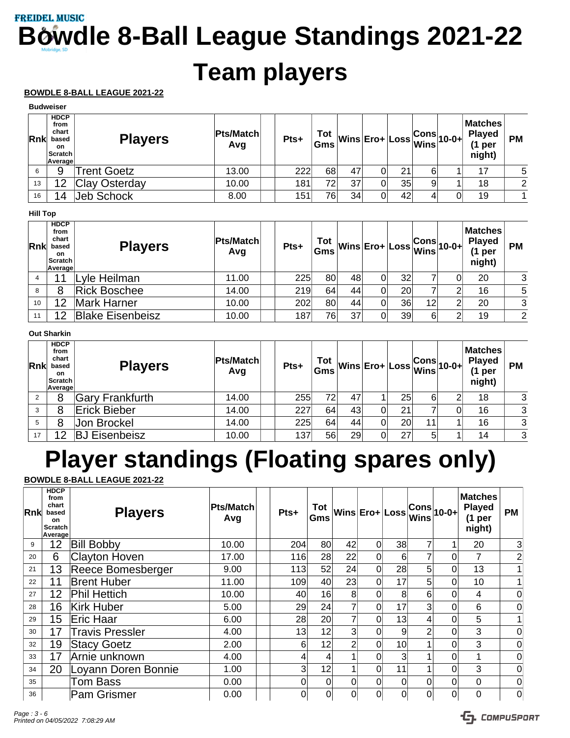# **Team players**

### **BOWDLE 8-BALL LEAGUE 2021-22**

|            | ричные                                                             |                      |                  |      |            |    |                                              |    |   |   |                                                  |                |
|------------|--------------------------------------------------------------------|----------------------|------------------|------|------------|----|----------------------------------------------|----|---|---|--------------------------------------------------|----------------|
| <b>Rnk</b> | <b>HDCP</b><br>from<br>chart<br>based<br>on.<br>Scratch<br>Average | <b>Players</b>       | Pts/Match<br>Avg | Pts+ | Tot<br>Gms |    | __ Wins Ero+ Loss <mark>Cons</mark> 10-0+ P' |    |   |   | <b>Matches</b><br><b>Played</b><br>per<br>night) | <b>PM</b>      |
|            | 9                                                                  | <b>Trent Goetz</b>   | 13.00            | 222  | 68         | 47 |                                              | 21 | 6 |   | 17                                               | 5              |
| 13         | 12                                                                 | <b>Clay Osterday</b> | 10.00            | 181  | 72         | 37 |                                              | 35 | 9 |   | 18                                               | 2              |
| 16         |                                                                    | Jeb Schock           | 8.00             | 151  | 76         | 34 |                                              | 42 |   | 0 | 19                                               | 1 <sup>1</sup> |

### **Hill Top**

| Rnk | <b>HDCP</b><br>from<br>chart<br>based<br>on.<br>Scratch<br>Average | <b>Players</b>          | <b>Pts/Match</b><br>Avg | Pts+ |    |    |    | $\begin{array}{ c c c }\n\hline\n\text{Tot} & \text{Wins} & \text{Ero+}\text{Loss} & \text{Cons} & 10-0+ \\ \hline\n\text{Gms} & \text{Wins} & \text{Wins} & \text{X} & 10-0+ \\ \hline\n\end{array}$ |   | <b>Matches</b><br><b>Played</b><br>(1 per<br>night) | <b>PM</b>      |
|-----|--------------------------------------------------------------------|-------------------------|-------------------------|------|----|----|----|-------------------------------------------------------------------------------------------------------------------------------------------------------------------------------------------------------|---|-----------------------------------------------------|----------------|
|     |                                                                    | vle Heilman             | 11.00                   | 225  | 80 | 48 | 32 |                                                                                                                                                                                                       |   | 20                                                  | 3              |
| 8   | 8                                                                  | <b>Rick Boschee</b>     | 14.00                   | 219  | 64 | 44 | 20 |                                                                                                                                                                                                       |   | 16                                                  | 5 <sub>1</sub> |
| 10  | 12                                                                 | Mark Harner             | 10.00                   | 202  | 80 | 44 | 36 | 12                                                                                                                                                                                                    | າ | 20                                                  | $\mathbf{3}$   |
|     | 12                                                                 | <b>Blake Eisenbeisz</b> | 10.00                   | 187  | 76 | 37 | 39 | 6                                                                                                                                                                                                     | ◠ | 19                                                  | $\overline{2}$ |

### **Out Sharkin**

| Rnk            | <b>HDCP</b><br>from<br>chart<br>based<br>on.<br>Scratch<br><b>Average</b> | <b>Players</b>       | <b>Pts/Match</b><br>Avg | Pts+ |     |    |    | $\frac{\textsf{Tot}}{\textsf{Gms}}\Big \textsf{Wins}\Big \textsf{Ero+}\Big \textsf{Loss}\Big \textsf{Gons}\Big \textsf{10-0+}\Big $ | <b>Matches</b><br><b>Played</b><br>(1 per<br>night) | <b>PM</b>      |
|----------------|---------------------------------------------------------------------------|----------------------|-------------------------|------|-----|----|----|-------------------------------------------------------------------------------------------------------------------------------------|-----------------------------------------------------|----------------|
| $\overline{2}$ | 8                                                                         | Gary Frankfurth      | 14.00                   | 255  | 721 | 47 | 25 | 6                                                                                                                                   | 18                                                  | 3              |
| 3              |                                                                           | Erick Bieber         | 14.00                   | 227  | 64  | 43 | 21 |                                                                                                                                     | 16                                                  | $\mathbf{3}$   |
| 5              | 8                                                                         | Jon Brockel          | 14.00                   | 225  | 64  | 44 | 20 | 11                                                                                                                                  | 16                                                  | $\mathbf{3}$   |
| 17             | 12                                                                        | <b>BJ Eisenbeisz</b> | 10.00                   | 137  | 56  | 29 | 27 | 5                                                                                                                                   | 14                                                  | 3 <sub>l</sub> |

# **Player standings (Floating spares only)**

| <b>Rnk</b> | <b>HDCP</b><br>from<br>chart<br>based<br>on<br><b>Scratch</b><br>Average | <b>Players</b>         | <b>Pts/Match</b><br>Avg | Pts+           | Tot<br>Gms      |                | Wins Ero+ Loss |    | $\begin{vmatrix} \text{Cons} \\ \text{Wins} \end{vmatrix}$ 10-0+ |          | <b>Matches</b><br><b>Played</b><br>(1 <sub>per</sub> )<br>night) | <b>PM</b>      |
|------------|--------------------------------------------------------------------------|------------------------|-------------------------|----------------|-----------------|----------------|----------------|----|------------------------------------------------------------------|----------|------------------------------------------------------------------|----------------|
| 9          | 12                                                                       | <b>Bill Bobby</b>      | 10.00                   | 204            | 80 <sup>°</sup> | 42             | 0              | 38 |                                                                  | 1        | 20                                                               | 3              |
| 20         | 6                                                                        | Clayton Hoven          | 17.00                   | 116            | 28              | 22             | 0              | 6  |                                                                  | 0        | 7                                                                | $\overline{2}$ |
| 21         | 13                                                                       | Reece Bomesberger      | 9.00                    | 113            | 52              | 24             | 0              | 28 | 5                                                                | 0        | 13                                                               | 1              |
| 22         | 11                                                                       | <b>Brent Huber</b>     | 11.00                   | 109            | 40 <sup>°</sup> | 23             |                | 17 | 5                                                                | 0        | 10                                                               | 1              |
| 27         | 12                                                                       | <b>Phil Hettich</b>    | 10.00                   | 40             | 16              | 8              |                | 8  | 6                                                                | 0        | 4                                                                | 0              |
| 28         | 16                                                                       | Kirk Huber             | 5.00                    | 29             | 24              |                | 0              | 17 | 3                                                                | 0        | 6                                                                | 0              |
| 29         | 15                                                                       | Eric Haar              | 6.00                    | 28             | 20 <sup>2</sup> |                | 0              | 13 | 4                                                                | 0        | 5                                                                | 1              |
| 30         | 17                                                                       | <b>Travis Pressler</b> | 4.00                    | 13             | 12              | 3              |                | 9  | 2                                                                | $\Omega$ | 3                                                                | 0              |
| 32         | 19                                                                       | <b>Stacy Goetz</b>     | 2.00                    | 6 <sub>1</sub> | 12              | $\overline{2}$ |                | 10 |                                                                  | 0        | 3                                                                | 0              |
| 33         | 17                                                                       | Arnie unknown          | 4.00                    | 41             |                 |                |                | 3  |                                                                  | 0        |                                                                  | $\mathbf 0$    |
| 34         | 20                                                                       | Loyann Doren Bonnie    | 1.00                    | 3 <sup>1</sup> | 12              |                | $\Omega$       | 11 |                                                                  | 0        | 3                                                                | 0              |
| 35         |                                                                          | Tom Bass               | 0.00                    | 01             | $\Omega$        | 0              | 0              | 0  | 0                                                                | 0        | 0                                                                | 0              |
| 36         |                                                                          | Pam Grismer            | 0.00                    | 01             | 0               | 0              | 0              |    | 0                                                                | 0        | 0                                                                | 0              |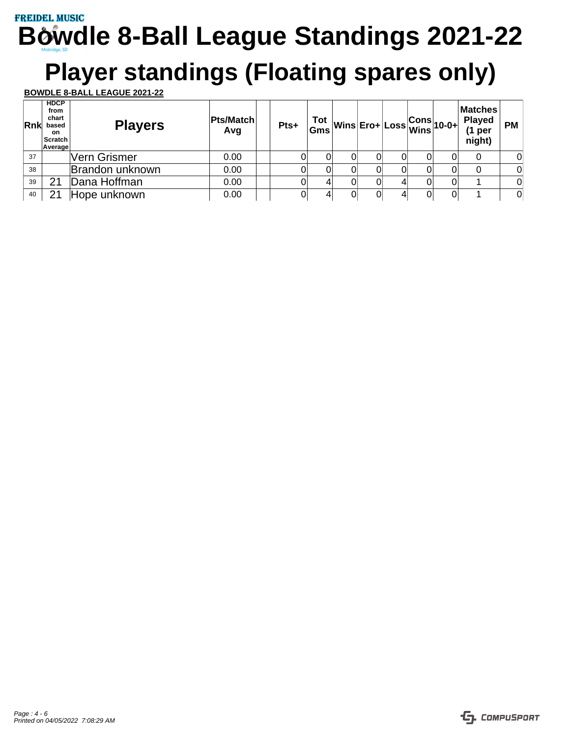# **Player standings (Floating spares only)**

| Rnk | <b>HDCP</b><br>from<br>chart<br>based<br>on.<br>Scratch<br>Average | <b>Players</b>      | Pts/Match<br>Avg | Pts+ |   |    |   | $\begin{array}{c} \n\text{Tot} \\ \text{Gms} \n\end{array}\n\text{Wins} \n\begin{array}{c} \n\text{Ero+} \n\end{array}\n\begin{array}{c} \n\text{Loss} \n\end{array}\n\text{Gons} \n\begin{array}{c} \n\text{Sons} \n\end{array}\n\text{10-0+}$ |   | <b>Matches</b><br><b>Played</b><br>(1 per<br>night) | <b>PM</b>      |
|-----|--------------------------------------------------------------------|---------------------|------------------|------|---|----|---|-------------------------------------------------------------------------------------------------------------------------------------------------------------------------------------------------------------------------------------------------|---|-----------------------------------------------------|----------------|
| 37  |                                                                    | <b>Vern Grismer</b> | 0.00             | ЭI   |   | Ωl |   | 0                                                                                                                                                                                                                                               |   | 0                                                   | 0              |
| 38  |                                                                    | Brandon unknown     | 0.00             | Ol   | 0 | Ωl |   | 0                                                                                                                                                                                                                                               | 0 | 0                                                   | $\Omega$       |
| 39  | 21                                                                 | Dana Hoffman        | 0.00             | ЭI   |   | Ωl | 0 | 0                                                                                                                                                                                                                                               |   |                                                     | $\Omega$       |
| 40  | 2 <sup>1</sup>                                                     | Hope unknown        | 0.00             | Οl   |   | Ωl |   | 0                                                                                                                                                                                                                                               | 0 |                                                     | $\overline{0}$ |

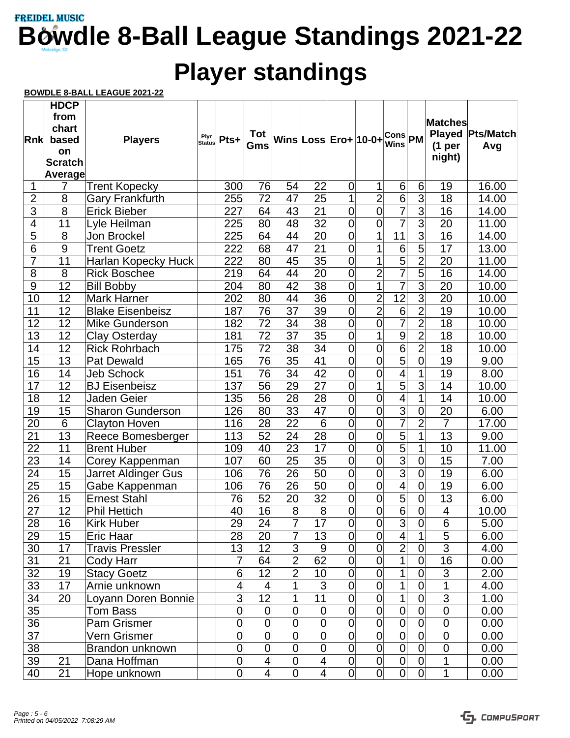# **Player standings**

|                 | <b>HDCP</b><br>from |                         |                       |             |                 |                 |                      |                |                |                    |                           |                     |                  |
|-----------------|---------------------|-------------------------|-----------------------|-------------|-----------------|-----------------|----------------------|----------------|----------------|--------------------|---------------------------|---------------------|------------------|
|                 | chart               |                         |                       |             |                 |                 |                      |                |                |                    |                           | <b>Matches</b>      |                  |
| Rnk             | based               | <b>Players</b>          | Plyr<br><b>Status</b> | Pts+        | <b>Tot</b>      |                 | Wins Loss Ero+ 10-0+ |                |                | Cons<br>Wins<br>PM |                           |                     | Played Pts/Match |
|                 | on                  |                         |                       |             | Gms             |                 |                      |                |                |                    |                           | (1 <sub>per</sub> ) | Avg              |
|                 | <b>Scratch</b>      |                         |                       |             |                 |                 |                      |                |                |                    |                           | night)              |                  |
|                 | Average             |                         |                       |             |                 |                 |                      |                |                |                    |                           |                     |                  |
| 1               | $\overline{7}$      | <b>Trent Kopecky</b>    |                       | 300         | 76              | 54              | 22                   | $\overline{0}$ | 1              | 6 <sup>1</sup>     | 6                         | 19                  | 16.00            |
| $\overline{2}$  | 8                   | <b>Gary Frankfurth</b>  |                       | 255         | 72              | 47              | 25                   | 1              | $\overline{2}$ | $\overline{6}$     | $\overline{3}$            | 18                  | 14.00            |
| $\overline{3}$  | $\overline{8}$      | Erick Bieber            |                       | 227         | 64              | 43              | $\overline{21}$      | $\overline{0}$ | $\overline{0}$ | $\overline{7}$     | $\overline{3}$            | $\overline{16}$     | 14.00            |
| $\overline{4}$  | 11                  | Lyle Heilman            |                       | 225         | 80              | 48              | 32                   | $\overline{0}$ | $\overline{0}$ | $\overline{7}$     | $\overline{3}$            | 20                  | 11.00            |
| $\overline{5}$  | 8                   | Jon Brockel             |                       | 225         | 64              | 44              | 20                   | $\mathbf 0$    | $\mathbf{1}$   | 11                 | $\overline{3}$            | 16                  | 14.00            |
| $6\phantom{1}6$ | 9                   | <b>Trent Goetz</b>      |                       | 222         | 68              | 47              | 21                   | $\overline{0}$ | 1              | $\overline{6}$     | 5                         | 17                  | 13.00            |
| $\overline{7}$  | 11                  | Harlan Kopecky Huck     |                       | 222         | 80              | 45              | $\overline{35}$      | $\overline{0}$ | $\mathbf{1}$   | $\overline{5}$     | $\overline{2}$            | $\overline{20}$     | 11.00            |
| $\overline{8}$  | 8                   | <b>Rick Boschee</b>     |                       | 219         | 64              | 44              | $\overline{20}$      | $\overline{0}$ | $\overline{2}$ | $\overline{7}$     | $\overline{5}$            | 16                  | 14.00            |
| 9               | 12                  | <b>Bill Bobby</b>       |                       | 204         | 80              | 42              | 38                   | $\overline{0}$ | $\overline{1}$ | $\overline{7}$     | $\overline{3}$            | 20                  | 10.00            |
| 10              | 12                  | <b>Mark Harner</b>      |                       | 202         | 80              | 44              | 36                   | $\overline{0}$ | $\overline{2}$ | $\overline{12}$    | $\overline{3}$            | 20                  | 10.00            |
| 11              | 12                  | <b>Blake Eisenbeisz</b> |                       | 187         | 76              | $\overline{37}$ | $\overline{39}$      | $\overline{0}$ | $\overline{2}$ | $\overline{6}$     | $\overline{2}$            | $\overline{19}$     | 10.00            |
| $\overline{12}$ | 12                  | Mike Gunderson          |                       | 182         | $\overline{72}$ | $\overline{34}$ | $\overline{38}$      | $\overline{0}$ | $\overline{0}$ | $\overline{7}$     | $\overline{2}$            | $\overline{18}$     | 10.00            |
| 13              | 12                  | <b>Clay Osterday</b>    |                       | 181         | 72              | 37              | $\overline{35}$      | $\overline{0}$ | $\mathbf{1}$   | $\overline{9}$     | $\overline{2}$            | 18                  | 10.00            |
| 14              | 12                  | <b>Rick Rohrbach</b>    |                       | 175         | 72              | 38              | 34                   | $\overline{0}$ | $\mathbf 0$    | $\overline{6}$     | $\overline{2}$            | 18                  | 10.00            |
| $\overline{15}$ | 13                  | <b>Pat Dewald</b>       |                       | 165         | $\overline{76}$ | $\overline{35}$ | 41                   | $\overline{0}$ | $\overline{0}$ | $\overline{5}$     | $\overline{0}$            | 19                  | 9.00             |
| $\overline{16}$ | 14                  | Jeb Schock              |                       | 151         | $\overline{76}$ | $\overline{34}$ | $\overline{42}$      | $\overline{0}$ | $\overline{0}$ | $\overline{4}$     | $\overline{1}$            | 19                  | 8.00             |
| 17              | 12                  | <b>BJ Eisenbeisz</b>    |                       | 137         | 56              | 29              | $\overline{27}$      | $\overline{0}$ | 1              | $\overline{5}$     | $\overline{3}$            | 14                  | 10.00            |
| 18              | 12                  | Jaden Geier             |                       | 135         | 56              | 28              | 28                   | $\overline{0}$ | $\overline{0}$ | 4                  | 1                         | 14                  | 10.00            |
| 19              | 15                  | <b>Sharon Gunderson</b> |                       | 126         | 80              | 33              | $\overline{47}$      | $\overline{0}$ | $\overline{0}$ | $\overline{3}$     | $\overline{0}$            | $\overline{20}$     | 6.00             |
| $\overline{20}$ | 6                   | <b>Clayton Hoven</b>    |                       | 116         | 28              | $\overline{22}$ | 6                    | $\overline{0}$ | $\overline{0}$ | $\overline{7}$     | $\overline{2}$            | $\overline{7}$      | 17.00            |
| 21              | 13                  | Reece Bomesberger       |                       | 113         | 52              | 24              | $\overline{28}$      | $\overline{0}$ | $\overline{0}$ | $\overline{5}$     | $\overline{1}$            | 13                  | 9.00             |
| 22              | 11                  | <b>Brent Huber</b>      |                       | 109         | 40              | 23              | 17                   | $\mathbf 0$    | $\overline{0}$ | $\overline{5}$     | 1                         | 10                  | 11.00            |
| $\overline{23}$ | 14                  | Corey Kappenman         |                       | 107         | 60              | $\overline{25}$ | $\overline{35}$      | $\overline{0}$ | $\overline{0}$ | $\overline{3}$     | $\overline{0}$            | 15                  | 7.00             |
| $\overline{24}$ | 15                  | Jarret Aldinger Gus     |                       | 106         | $\overline{76}$ | $\overline{26}$ | $\overline{50}$      | $\overline{0}$ | $\overline{0}$ | $\overline{3}$     | $\overline{\mathfrak{o}}$ | 19                  | 6.00             |
| 25              | 15                  | Gabe Kappenman          |                       | 106         | 76              | 26              | 50                   | $\overline{0}$ | $\overline{0}$ | $\overline{4}$     | $\overline{0}$            | 19                  | 6.00             |
| 26              | 15                  | <b>Ernest Stahl</b>     |                       | 76          | 52              | 20              | 32                   | $\mathbf 0$    | $\mathbf 0$    | $\overline{5}$     | $\overline{\mathsf{O}}$   | 13                  | 6.00             |
| $\overline{27}$ | 12                  | Phil Hettich            |                       | 40          | $\overline{16}$ | 8               | 8                    | $\overline{0}$ | $\overline{0}$ | $\overline{6}$     | $\overline{0}$            | $\overline{4}$      | 10.00            |
| 28              | 16                  | Kirk Huber              |                       | 29          | 24              | 7               | 17                   | 0              | $\mathbf 0$    | $\mathbf{3}$       | $\overline{0}$            | 6                   | 5.00             |
| 29              | 15                  | Eric Haar               |                       | 28          | 20 <sup>°</sup> | 7               | 13                   | $\overline{0}$ | $\overline{0}$ | $\overline{4}$     | 1                         | $\overline{5}$      | 6.00             |
| 30              | 17                  | <b>Travis Pressler</b>  |                       | 13          | 12              | $\overline{3}$  | $\overline{9}$       | $\overline{0}$ | $\mathbf 0$    | $\overline{2}$     | $\overline{0}$            | $\overline{3}$      | 4.00             |
| 31              | 21                  | Cody Harr               |                       | 7           | 64              | $\overline{2}$  | 62                   | $\overline{0}$ | $\overline{0}$ | 1                  | 0                         | 16                  | 0.00             |
| $\overline{32}$ | 19                  | <b>Stacy Goetz</b>      |                       | 6           | $\overline{12}$ | $\overline{2}$  | 10                   | $\overline{0}$ | $\overline{0}$ | 1                  | $\overline{0}$            | 3                   | 2.00             |
| 33              | 17                  | Arnie unknown           |                       | 4           | 4               | 1               | $\overline{3}$       | $\mathbf 0$    | $\mathbf 0$    | 1                  | $\overline{0}$            | $\mathbf 1$         | 4.00             |
| 34              | 20                  | Loyann Doren Bonnie     |                       | 3           | $\overline{12}$ | 1               | 11                   | $\overline{0}$ | $\overline{0}$ | 1                  | $\overline{0}$            | $\overline{3}$      | 1.00             |
| 35              |                     | Tom Bass                |                       | $\mathbf 0$ | $\overline{0}$  | $\mathbf 0$     | $\mathbf 0$          | $\overline{0}$ | $\overline{0}$ | $\overline{0}$     | 0                         | $\mathbf 0$         | 0.00             |
| 36              |                     | Pam Grismer             |                       | $\mathbf 0$ | $\overline{0}$  | $\overline{0}$  | $\overline{0}$       | $\overline{0}$ | $\overline{0}$ | $\overline{0}$     | $\overline{0}$            | $\mathsf 0$         | 0.00             |
| $\overline{37}$ |                     | Vern Grismer            |                       | $\mathbf 0$ | $\overline{0}$  | $\overline{0}$  | $\overline{0}$       | $\mathbf 0$    | $\mathbf 0$    | $\mathbf 0$        | $\mathbf 0$               | $\mathbf 0$         | 0.00             |
| 38              |                     | Brandon unknown         |                       | $\mathbf 0$ | $\overline{0}$  | $\overline{0}$  | $\overline{0}$       | $\overline{0}$ | $\overline{0}$ | $\overline{0}$     | $\overline{0}$            | $\mathbf 0$         | 0.00             |
| 39              | 21                  | Dana Hoffman            |                       | $\mathbf 0$ | $\overline{4}$  | $\mathbf 0$     | $\overline{4}$       | 0              | $\overline{0}$ | $\overline{0}$     | 0                         | 1                   | 0.00             |
| 40              | 21                  | Hope unknown            |                       | 0           | $\overline{4}$  | $\overline{0}$  | $\vert 4 \vert$      | $\overline{0}$ | $\overline{0}$ | $\overline{0}$     | $\overline{0}$            | 1                   | 0.00             |